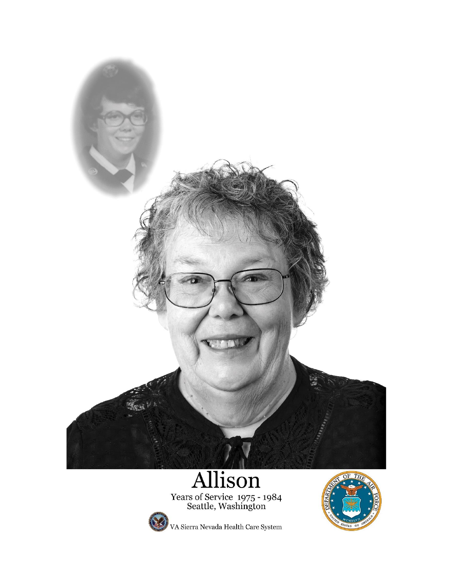

Years of Service 1975 - 1984<br>Seattle, Washington



VA Sierra Nevada Health Care System

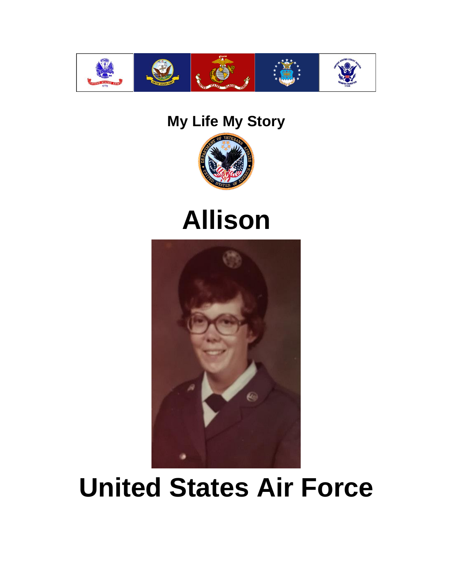

#### **My Life My Story**



## **Allison**



# **United States Air Force**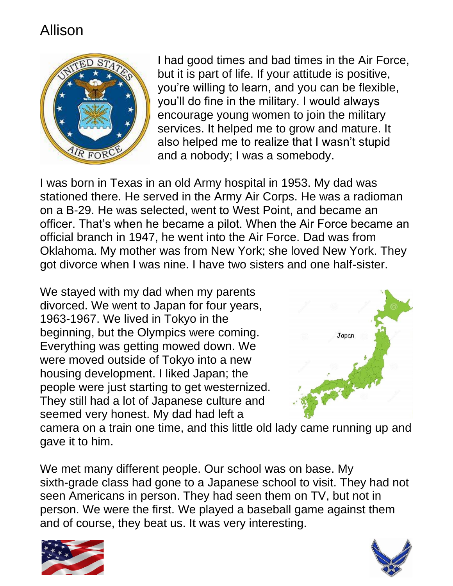

I had good times and bad times in the Air Force, but it is part of life. If your attitude is positive, you're willing to learn, and you can be flexible, you'll do fine in the military. I would always encourage young women to join the military services. It helped me to grow and mature. It also helped me to realize that I wasn't stupid and a nobody; I was a somebody.

I was born in Texas in an old Army hospital in 1953. My dad was stationed there. He served in the Army Air Corps. He was a radioman on a B-29. He was selected, went to West Point, and became an officer. That's when he became a pilot. When the Air Force became an official branch in 1947, he went into the Air Force. Dad was from Oklahoma. My mother was from New York; she loved New York. They got divorce when I was nine. I have two sisters and one half-sister.

We stayed with my dad when my parents divorced. We went to Japan for four years, 1963-1967. We lived in Tokyo in the beginning, but the Olympics were coming. Everything was getting mowed down. We were moved outside of Tokyo into a new housing development. I liked Japan; the people were just starting to get westernized. They still had a lot of Japanese culture and seemed very honest. My dad had left a



camera on a train one time, and this little old lady came running up and gave it to him.

We met many different people. Our school was on base. My sixth-grade class had gone to a Japanese school to visit. They had not seen Americans in person. They had seen them on TV, but not in person. We were the first. We played a baseball game against them and of course, they beat us. It was very interesting.



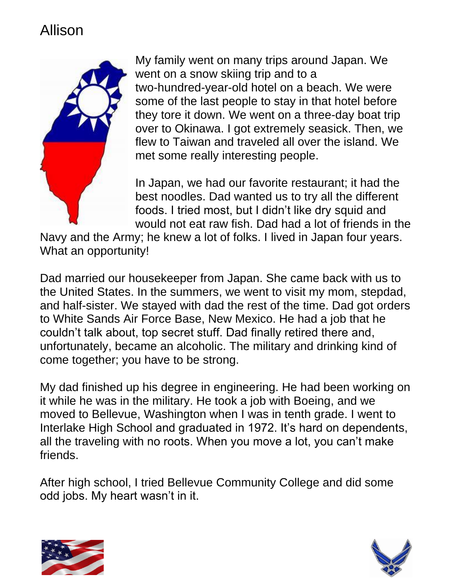

My family went on many trips around Japan. We went on a snow skiing trip and to a two-hundred-year-old hotel on a beach. We were some of the last people to stay in that hotel before they tore it down. We went on a three-day boat trip over to Okinawa. I got extremely seasick. Then, we flew to Taiwan and traveled all over the island. We met some really interesting people.

In Japan, we had our favorite restaurant; it had the best noodles. Dad wanted us to try all the different foods. I tried most, but I didn't like dry squid and would not eat raw fish. Dad had a lot of friends in the

Navy and the Army; he knew a lot of folks. I lived in Japan four years. What an opportunity!

Dad married our housekeeper from Japan. She came back with us to the United States. In the summers, we went to visit my mom, stepdad, and half-sister. We stayed with dad the rest of the time. Dad got orders to White Sands Air Force Base, New Mexico. He had a job that he couldn't talk about, top secret stuff. Dad finally retired there and, unfortunately, became an alcoholic. The military and drinking kind of come together; you have to be strong.

My dad finished up his degree in engineering. He had been working on it while he was in the military. He took a job with Boeing, and we moved to Bellevue, Washington when I was in tenth grade. I went to Interlake High School and graduated in 1972. It's hard on dependents, all the traveling with no roots. When you move a lot, you can't make friends.

After high school, I tried Bellevue Community College and did some odd jobs. My heart wasn't in it.



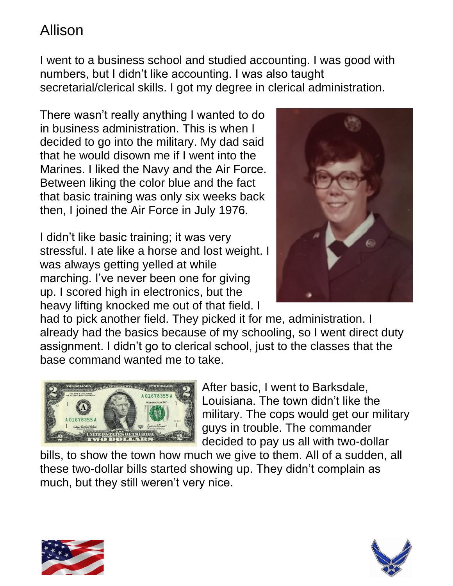I went to a business school and studied accounting. I was good with numbers, but I didn't like accounting. I was also taught secretarial/clerical skills. I got my degree in clerical administration.

There wasn't really anything I wanted to do in business administration. This is when I decided to go into the military. My dad said that he would disown me if I went into the Marines. I liked the Navy and the Air Force. Between liking the color blue and the fact that basic training was only six weeks back then, I joined the Air Force in July 1976.

I didn't like basic training; it was very stressful. I ate like a horse and lost weight. I was always getting yelled at while marching. I've never been one for giving up. I scored high in electronics, but the heavy lifting knocked me out of that field. I



had to pick another field. They picked it for me, administration. I already had the basics because of my schooling, so I went direct duty assignment. I didn't go to clerical school, just to the classes that the base command wanted me to take.



After basic, I went to Barksdale, Louisiana. The town didn't like the military. The cops would get our military guys in trouble. The commander decided to pay us all with two-dollar

bills, to show the town how much we give to them. All of a sudden, all these two-dollar bills started showing up. They didn't complain as much, but they still weren't very nice.



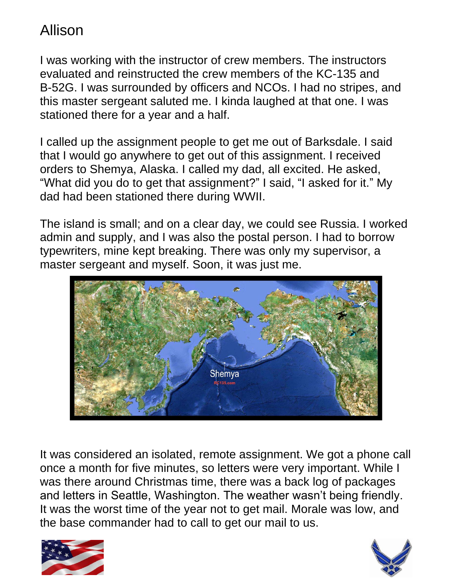I was working with the instructor of crew members. The instructors evaluated and reinstructed the crew members of the KC-135 and B-52G. I was surrounded by officers and NCOs. I had no stripes, and this master sergeant saluted me. I kinda laughed at that one. I was stationed there for a year and a half.

I called up the assignment people to get me out of Barksdale. I said that I would go anywhere to get out of this assignment. I received orders to Shemya, Alaska. I called my dad, all excited. He asked, "What did you do to get that assignment?" I said, "I asked for it." My dad had been stationed there during WWII.

The island is small; and on a clear day, we could see Russia. I worked admin and supply, and I was also the postal person. I had to borrow typewriters, mine kept breaking. There was only my supervisor, a master sergeant and myself. Soon, it was just me.



It was considered an isolated, remote assignment. We got a phone call once a month for five minutes, so letters were very important. While I was there around Christmas time, there was a back log of packages and letters in Seattle, Washington. The weather wasn't being friendly. It was the worst time of the year not to get mail. Morale was low, and the base commander had to call to get our mail to us.



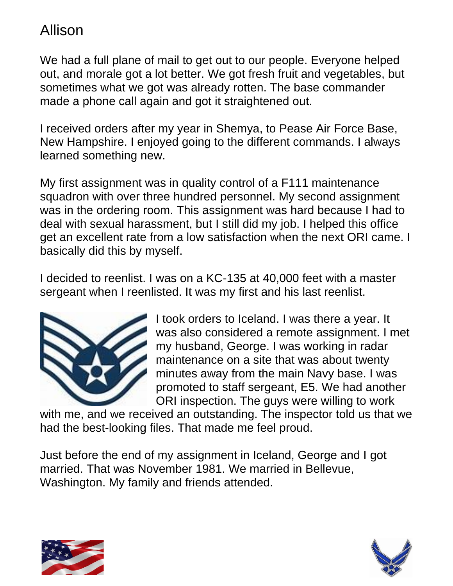We had a full plane of mail to get out to our people. Everyone helped out, and morale got a lot better. We got fresh fruit and vegetables, but sometimes what we got was already rotten. The base commander made a phone call again and got it straightened out.

I received orders after my year in Shemya, to Pease Air Force Base, New Hampshire. I enjoyed going to the different commands. I always learned something new.

My first assignment was in quality control of a F111 maintenance squadron with over three hundred personnel. My second assignment was in the ordering room. This assignment was hard because I had to deal with sexual harassment, but I still did my job. I helped this office get an excellent rate from a low satisfaction when the next ORI came. I basically did this by myself.

I decided to reenlist. I was on a KC-135 at 40,000 feet with a master sergeant when I reenlisted. It was my first and his last reenlist.



I took orders to Iceland. I was there a year. It was also considered a remote assignment. I met my husband, George. I was working in radar maintenance on a site that was about twenty minutes away from the main Navy base. I was promoted to staff sergeant, E5. We had another ORI inspection. The guys were willing to work

with me, and we received an outstanding. The inspector told us that we had the best-looking files. That made me feel proud.

Just before the end of my assignment in Iceland, George and I got married. That was November 1981. We married in Bellevue, Washington. My family and friends attended.



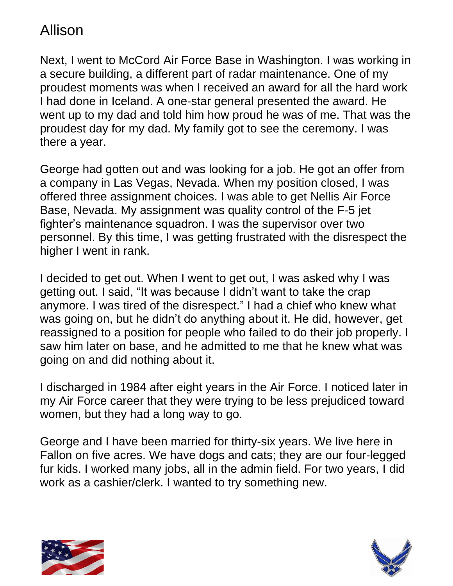Next, I went to McCord Air Force Base in Washington. I was working in a secure building, a different part of radar maintenance. One of my proudest moments was when I received an award for all the hard work I had done in Iceland. A one-star general presented the award. He went up to my dad and told him how proud he was of me. That was the proudest day for my dad. My family got to see the ceremony. I was there a year.

George had gotten out and was looking for a job. He got an offer from a company in Las Vegas, Nevada. When my position closed, I was offered three assignment choices. I was able to get Nellis Air Force Base, Nevada. My assignment was quality control of the F-5 jet fighter's maintenance squadron. I was the supervisor over two personnel. By this time, I was getting frustrated with the disrespect the higher I went in rank.

I decided to get out. When I went to get out, I was asked why I was getting out. I said, "It was because I didn't want to take the crap anymore. I was tired of the disrespect." I had a chief who knew what was going on, but he didn't do anything about it. He did, however, get reassigned to a position for people who failed to do their job properly. I saw him later on base, and he admitted to me that he knew what was going on and did nothing about it.

I discharged in 1984 after eight years in the Air Force. I noticed later in my Air Force career that they were trying to be less prejudiced toward women, but they had a long way to go.

George and I have been married for thirty-six years. We live here in Fallon on five acres. We have dogs and cats; they are our four-legged fur kids. I worked many jobs, all in the admin field. For two years, I did work as a cashier/clerk. I wanted to try something new.